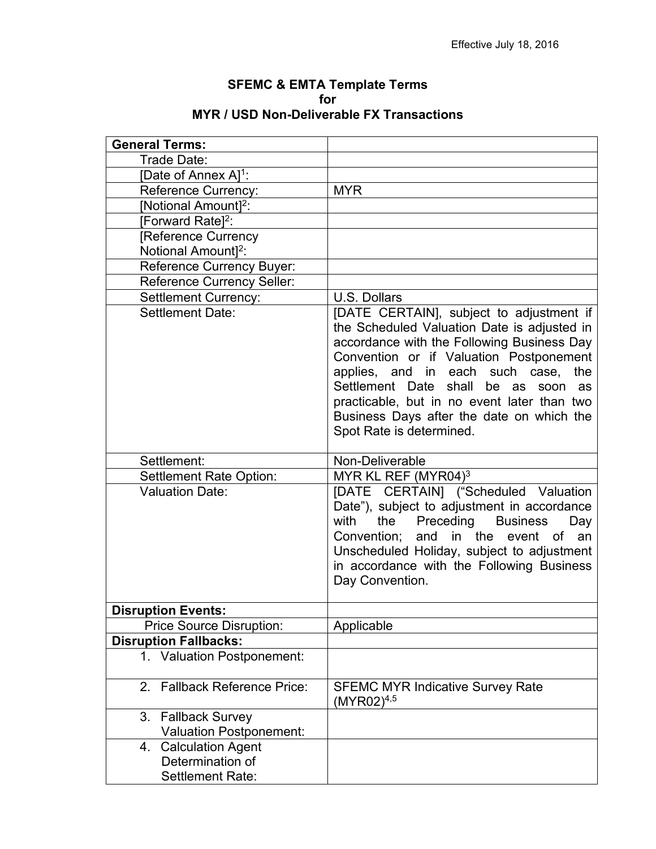## **SFEMC & EMTA Template Terms for MYR / USD Non-Deliverable FX Transactions**

| <b>General Terms:</b>                           |                                                                                                                                                                                                                                                                                                                                                                                                          |
|-------------------------------------------------|----------------------------------------------------------------------------------------------------------------------------------------------------------------------------------------------------------------------------------------------------------------------------------------------------------------------------------------------------------------------------------------------------------|
| Trade Date:                                     |                                                                                                                                                                                                                                                                                                                                                                                                          |
| [Date of Annex A] <sup>1</sup> :                |                                                                                                                                                                                                                                                                                                                                                                                                          |
| <b>Reference Currency:</b>                      | <b>MYR</b>                                                                                                                                                                                                                                                                                                                                                                                               |
| [Notional Amount] <sup>2</sup> :                |                                                                                                                                                                                                                                                                                                                                                                                                          |
| [Forward Rate] <sup>2</sup> :                   |                                                                                                                                                                                                                                                                                                                                                                                                          |
| Reference Currency                              |                                                                                                                                                                                                                                                                                                                                                                                                          |
| Notional Amount] <sup>2</sup> :                 |                                                                                                                                                                                                                                                                                                                                                                                                          |
| Reference Currency Buyer:                       |                                                                                                                                                                                                                                                                                                                                                                                                          |
| Reference Currency Seller:                      |                                                                                                                                                                                                                                                                                                                                                                                                          |
| <b>Settlement Currency:</b>                     | U.S. Dollars                                                                                                                                                                                                                                                                                                                                                                                             |
| Settlement Date:                                | [DATE CERTAIN], subject to adjustment if<br>the Scheduled Valuation Date is adjusted in<br>accordance with the Following Business Day<br>Convention or if Valuation Postponement<br>applies, and in each such case,<br>the<br>Settlement Date<br>shall<br>be<br>as<br>soon<br>as<br>practicable, but in no event later than two<br>Business Days after the date on which the<br>Spot Rate is determined. |
| Settlement:                                     | Non-Deliverable                                                                                                                                                                                                                                                                                                                                                                                          |
| Settlement Rate Option:                         | MYR KL REF (MYR04) <sup>3</sup>                                                                                                                                                                                                                                                                                                                                                                          |
| <b>Valuation Date:</b>                          | [DATE CERTAIN] ("Scheduled Valuation<br>Date"), subject to adjustment in accordance<br>with<br>Preceding<br><b>Business</b><br>the<br>Day<br>and in the<br>an<br>Convention;<br>event of<br>Unscheduled Holiday, subject to adjustment<br>in accordance with the Following Business<br>Day Convention.                                                                                                   |
| <b>Disruption Events:</b>                       |                                                                                                                                                                                                                                                                                                                                                                                                          |
| <b>Price Source Disruption:</b>                 | Applicable                                                                                                                                                                                                                                                                                                                                                                                               |
| <b>Disruption Fallbacks:</b>                    |                                                                                                                                                                                                                                                                                                                                                                                                          |
| <b>Valuation Postponement:</b><br>$\mathbf 1$ . |                                                                                                                                                                                                                                                                                                                                                                                                          |
| 2. Fallback Reference Price:                    | <b>SFEMC MYR Indicative Survey Rate</b><br>(MYR02) <sup>4,5</sup>                                                                                                                                                                                                                                                                                                                                        |
| 3.<br><b>Fallback Survey</b>                    |                                                                                                                                                                                                                                                                                                                                                                                                          |
| <b>Valuation Postponement:</b>                  |                                                                                                                                                                                                                                                                                                                                                                                                          |
| <b>Calculation Agent</b><br>4.                  |                                                                                                                                                                                                                                                                                                                                                                                                          |
| Determination of                                |                                                                                                                                                                                                                                                                                                                                                                                                          |
| <b>Settlement Rate:</b>                         |                                                                                                                                                                                                                                                                                                                                                                                                          |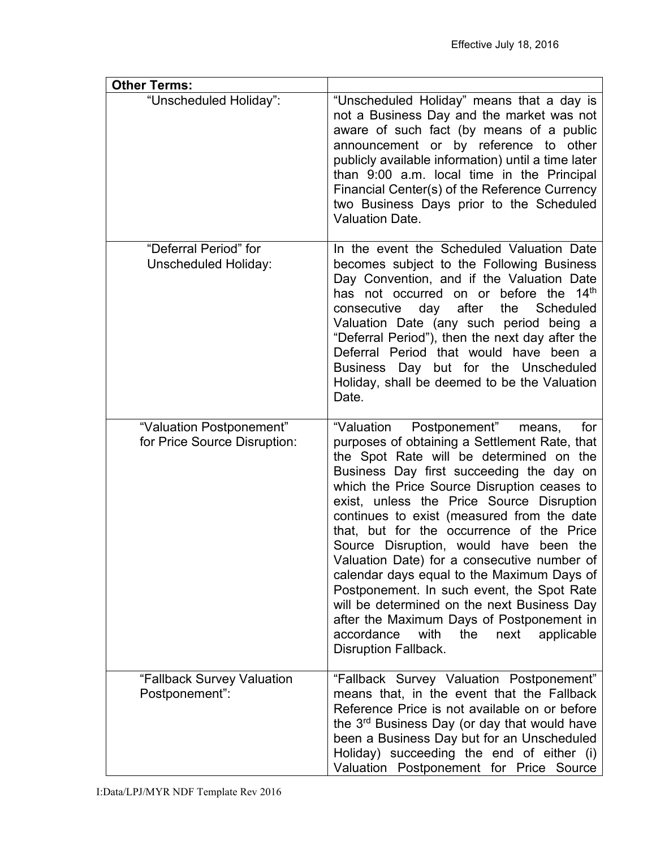| <b>Other Terms:</b>                                      |                                                                                                                                                                                                                                                                                                                                                                                                                                                                                                                                                                                                                                                                                                                                             |
|----------------------------------------------------------|---------------------------------------------------------------------------------------------------------------------------------------------------------------------------------------------------------------------------------------------------------------------------------------------------------------------------------------------------------------------------------------------------------------------------------------------------------------------------------------------------------------------------------------------------------------------------------------------------------------------------------------------------------------------------------------------------------------------------------------------|
| "Unscheduled Holiday":                                   | "Unscheduled Holiday" means that a day is<br>not a Business Day and the market was not<br>aware of such fact (by means of a public<br>announcement or by reference to other<br>publicly available information) until a time later<br>than 9:00 a.m. local time in the Principal<br>Financial Center(s) of the Reference Currency<br>two Business Days prior to the Scheduled<br><b>Valuation Date.</b>                                                                                                                                                                                                                                                                                                                                      |
| "Deferral Period" for<br>Unscheduled Holiday:            | In the event the Scheduled Valuation Date<br>becomes subject to the Following Business<br>Day Convention, and if the Valuation Date<br>has not occurred on or before the 14 <sup>th</sup><br>consecutive<br>day after<br>the Scheduled<br>Valuation Date (any such period being a<br>"Deferral Period"), then the next day after the<br>Deferral Period that would have been a<br>Business Day but for the Unscheduled<br>Holiday, shall be deemed to be the Valuation<br>Date.                                                                                                                                                                                                                                                             |
| "Valuation Postponement"<br>for Price Source Disruption: | "Valuation Postponement"<br>for<br>means,<br>purposes of obtaining a Settlement Rate, that<br>the Spot Rate will be determined on the<br>Business Day first succeeding the day on<br>which the Price Source Disruption ceases to<br>exist, unless the Price Source Disruption<br>continues to exist (measured from the date<br>that, but for the occurrence of the Price<br>Source Disruption, would have been the<br>Valuation Date) for a consecutive number of<br>calendar days equal to the Maximum Days of<br>Postponement. In such event, the Spot Rate<br>will be determined on the next Business Day<br>after the Maximum Days of Postponement in<br>accordance<br>with<br>the<br>next<br>applicable<br><b>Disruption Fallback.</b> |
| "Fallback Survey Valuation<br>Postponement":             | "Fallback Survey Valuation Postponement"<br>means that, in the event that the Fallback<br>Reference Price is not available on or before<br>the 3 <sup>rd</sup> Business Day (or day that would have<br>been a Business Day but for an Unscheduled<br>Holiday) succeeding the end of either (i)<br>Valuation Postponement for Price Source                                                                                                                                                                                                                                                                                                                                                                                                   |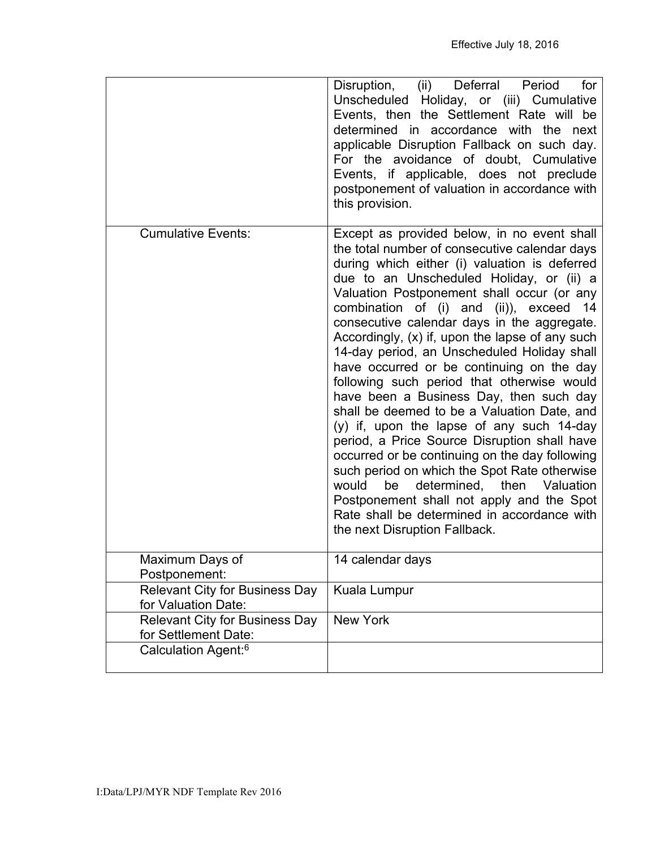|                                                              | (ii) Deferral<br>for<br>Disruption,<br>Period<br>Unscheduled Holiday, or (iii) Cumulative<br>Events, then the Settlement Rate will be<br>determined in accordance with the next<br>applicable Disruption Fallback on such day.<br>For the avoidance of doubt, Cumulative<br>Events, if applicable, does not preclude<br>postponement of valuation in accordance with<br>this provision.                                                                                                                                                                                                                                                                                                                                                                                                                                                                                                                                                                                                           |
|--------------------------------------------------------------|---------------------------------------------------------------------------------------------------------------------------------------------------------------------------------------------------------------------------------------------------------------------------------------------------------------------------------------------------------------------------------------------------------------------------------------------------------------------------------------------------------------------------------------------------------------------------------------------------------------------------------------------------------------------------------------------------------------------------------------------------------------------------------------------------------------------------------------------------------------------------------------------------------------------------------------------------------------------------------------------------|
| <b>Cumulative Events:</b>                                    | Except as provided below, in no event shall<br>the total number of consecutive calendar days<br>during which either (i) valuation is deferred<br>due to an Unscheduled Holiday, or (ii) a<br>Valuation Postponement shall occur (or any<br>combination of (i) and (ii)), exceed 14<br>consecutive calendar days in the aggregate.<br>Accordingly, (x) if, upon the lapse of any such<br>14-day period, an Unscheduled Holiday shall<br>have occurred or be continuing on the day<br>following such period that otherwise would<br>have been a Business Day, then such day<br>shall be deemed to be a Valuation Date, and<br>(y) if, upon the lapse of any such 14-day<br>period, a Price Source Disruption shall have<br>occurred or be continuing on the day following<br>such period on which the Spot Rate otherwise<br>determined, then Valuation<br>would<br>be<br>Postponement shall not apply and the Spot<br>Rate shall be determined in accordance with<br>the next Disruption Fallback. |
| Maximum Days of<br>Postponement:                             | 14 calendar days                                                                                                                                                                                                                                                                                                                                                                                                                                                                                                                                                                                                                                                                                                                                                                                                                                                                                                                                                                                  |
| <b>Relevant City for Business Day</b><br>for Valuation Date: | Kuala Lumpur                                                                                                                                                                                                                                                                                                                                                                                                                                                                                                                                                                                                                                                                                                                                                                                                                                                                                                                                                                                      |
| Relevant City for Business Day<br>for Settlement Date:       | <b>New York</b>                                                                                                                                                                                                                                                                                                                                                                                                                                                                                                                                                                                                                                                                                                                                                                                                                                                                                                                                                                                   |
| Calculation Agent: <sup>6</sup>                              |                                                                                                                                                                                                                                                                                                                                                                                                                                                                                                                                                                                                                                                                                                                                                                                                                                                                                                                                                                                                   |